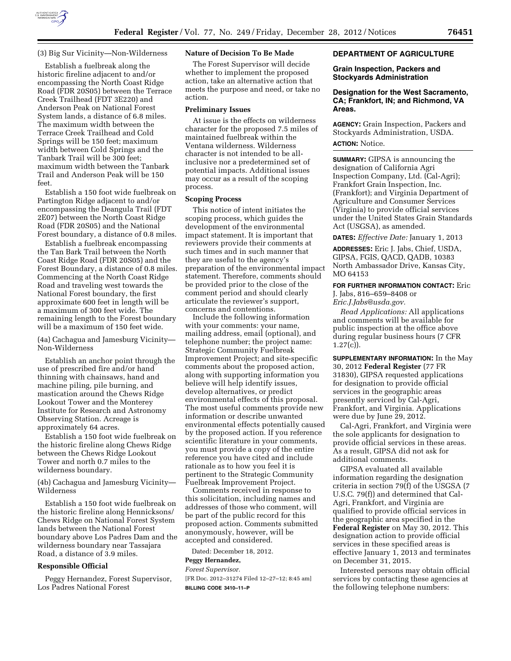

### (3) Big Sur Vicinity—Non-Wilderness

Establish a fuelbreak along the historic fireline adjacent to and/or encompassing the North Coast Ridge Road (FDR 20S05) between the Terrace Creek Trailhead (FDT 3E220) and Anderson Peak on National Forest System lands, a distance of 6.8 miles. The maximum width between the Terrace Creek Trailhead and Cold Springs will be 150 feet; maximum width between Cold Springs and the Tanbark Trail will be 300 feet; maximum width between the Tanbark Trail and Anderson Peak will be 150 feet.

Establish a 150 foot wide fuelbreak on Partington Ridge adjacent to and/or encompassing the Deangula Trail (FDT 2E07) between the North Coast Ridge Road (FDR 20S05) and the National Forest boundary, a distance of 0.8 miles.

Establish a fuelbreak encompassing the Tan Bark Trail between the North Coast Ridge Road (FDR 20S05) and the Forest Boundary, a distance of 0.8 miles. Commencing at the North Coast Ridge Road and traveling west towards the National Forest boundary, the first approximate 600 feet in length will be a maximum of 300 feet wide. The remaining length to the Forest boundary will be a maximum of 150 feet wide.

(4a) Cachagua and Jamesburg Vicinity— Non-Wilderness

Establish an anchor point through the use of prescribed fire and/or hand thinning with chainsaws, hand and machine piling, pile burning, and mastication around the Chews Ridge Lookout Tower and the Monterey Institute for Research and Astronomy Observing Station. Acreage is approximately 64 acres.

Establish a 150 foot wide fuelbreak on the historic fireline along Chews Ridge between the Chews Ridge Lookout Tower and north 0.7 miles to the wilderness boundary.

(4b) Cachagua and Jamesburg Vicinity— Wilderness

Establish a 150 foot wide fuelbreak on the historic fireline along Hennicksons/ Chews Ridge on National Forest System lands between the National Forest boundary above Los Padres Dam and the wilderness boundary near Tassajara Road, a distance of 3.9 miles.

#### **Responsible Official**

Peggy Hernandez, Forest Supervisor, Los Padres National Forest

## **Nature of Decision To Be Made**

The Forest Supervisor will decide whether to implement the proposed action, take an alternative action that meets the purpose and need, or take no action.

#### **Preliminary Issues**

At issue is the effects on wilderness character for the proposed 7.5 miles of maintained fuelbreak within the Ventana wilderness. Wilderness character is not intended to be allinclusive nor a predetermined set of potential impacts. Additional issues may occur as a result of the scoping process.

#### **Scoping Process**

This notice of intent initiates the scoping process, which guides the development of the environmental impact statement. It is important that reviewers provide their comments at such times and in such manner that they are useful to the agency's preparation of the environmental impact statement. Therefore, comments should be provided prior to the close of the comment period and should clearly articulate the reviewer's support, concerns and contentions.

Include the following information with your comments: your name, mailing address, email (optional), and telephone number; the project name: Strategic Community Fuelbreak Improvement Project; and site-specific comments about the proposed action, along with supporting information you believe will help identify issues, develop alternatives, or predict environmental effects of this proposal. The most useful comments provide new information or describe unwanted environmental effects potentially caused by the proposed action. If you reference scientific literature in your comments, you must provide a copy of the entire reference you have cited and include rationale as to how you feel it is pertinent to the Strategic Community Fuelbreak Improvement Project.

Comments received in response to this solicitation, including names and addresses of those who comment, will be part of the public record for this proposed action. Comments submitted anonymously, however, will be accepted and considered.

Dated: December 18, 2012.

## **Peggy Hernandez,**

*Forest Supervisor.* 

[FR Doc. 2012–31274 Filed 12–27–12; 8:45 am] **BILLING CODE 3410–11–P** 

## **DEPARTMENT OF AGRICULTURE**

#### **Grain Inspection, Packers and Stockyards Administration**

## **Designation for the West Sacramento, CA; Frankfort, IN; and Richmond, VA Areas.**

**AGENCY:** Grain Inspection, Packers and Stockyards Administration, USDA.

## **ACTION:** Notice.

**SUMMARY:** GIPSA is announcing the designation of California Agri Inspection Company, Ltd. (Cal-Agri); Frankfort Grain Inspection, Inc. (Frankfort); and Virginia Department of Agriculture and Consumer Services (Virginia) to provide official services under the United States Grain Standards Act (USGSA), as amended.

**DATES:** *Effective Date:* January 1, 2013

**ADDRESSES:** Eric J. Jabs, Chief, USDA, GIPSA, FGIS, QACD, QADB, 10383 North Ambassador Drive, Kansas City, MO 64153

# **FOR FURTHER INFORMATION CONTACT:** Eric

J. Jabs, 816–659–8408 or

*Eric.J.Jabs@usda.gov.* 

*Read Applications:* All applications and comments will be available for public inspection at the office above during regular business hours (7 CFR  $1.27(c)$ ).

**SUPPLEMENTARY INFORMATION:** In the May 30, 2012 **Federal Register** (77 FR 31830), GIPSA requested applications for designation to provide official services in the geographic areas presently serviced by Cal-Agri, Frankfort, and Virginia. Applications were due by June 29, 2012.

Cal-Agri, Frankfort, and Virginia were the sole applicants for designation to provide official services in these areas. As a result, GIPSA did not ask for additional comments.

GIPSA evaluated all available information regarding the designation criteria in section 79(f) of the USGSA (7 U.S.C. 79(f)) and determined that Cal-Agri, Frankfort, and Virginia are qualified to provide official services in the geographic area specified in the **Federal Register** on May 30, 2012. This designation action to provide official services in these specified areas is effective January 1, 2013 and terminates on December 31, 2015.

Interested persons may obtain official services by contacting these agencies at the following telephone numbers: